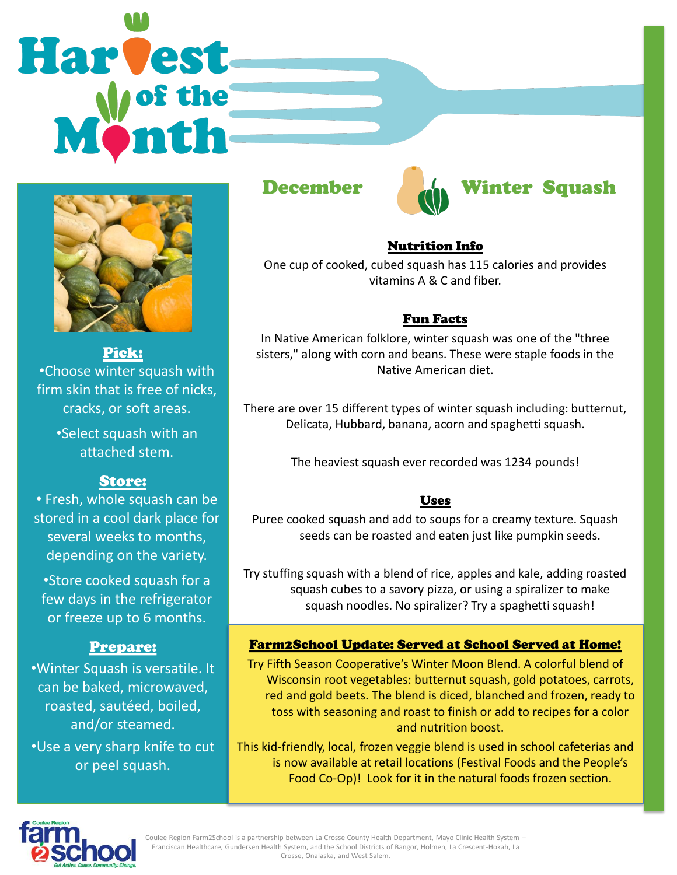# Harvest



Pick: •Choose winter squash with firm skin that is free of nicks, cracks, or soft areas. •Select squash with an

attached stem.

## Store:

• Fresh, whole squash can be stored in a cool dark place for several weeks to months, depending on the variety.

•Store cooked squash for a few days in the refrigerator or freeze up to 6 months.

#### Prepare:

•Winter Squash is versatile. It can be baked, microwaved, roasted, sautéed, boiled, and/or steamed. •Use a very sharp knife to cut or peel squash.





#### Nutrition Info

One cup of cooked, cubed squash has 115 calories and provides vitamins A & C and fiber.

#### Fun Facts

In Native American folklore, winter squash was one of the "three sisters," along with corn and beans. These were staple foods in the Native American diet.

There are over 15 different types of winter squash including: butternut, Delicata, Hubbard, banana, acorn and spaghetti squash.

The heaviest squash ever recorded was 1234 pounds!

#### Uses

Puree cooked squash and add to soups for a creamy texture. Squash seeds can be roasted and eaten just like pumpkin seeds.

Try stuffing squash with a blend of rice, apples and kale, adding roasted squash cubes to a savory pizza, or using a spiralizer to make squash noodles. No spiralizer? Try a spaghetti squash!

#### Farm2School Update: Served at School Served at Home!

Try Fifth Season Cooperative's Winter Moon Blend. A colorful blend of Wisconsin root vegetables: butternut squash, gold potatoes, carrots, red and gold beets. The blend is diced, blanched and frozen, ready to toss with seasoning and roast to finish or add to recipes for a color and nutrition boost.

This kid-friendly, local, frozen veggie blend is used in school cafeterias and is now available at retail locations (Festival Foods and the People's Food Co-Op)! Look for it in the natural foods frozen section.